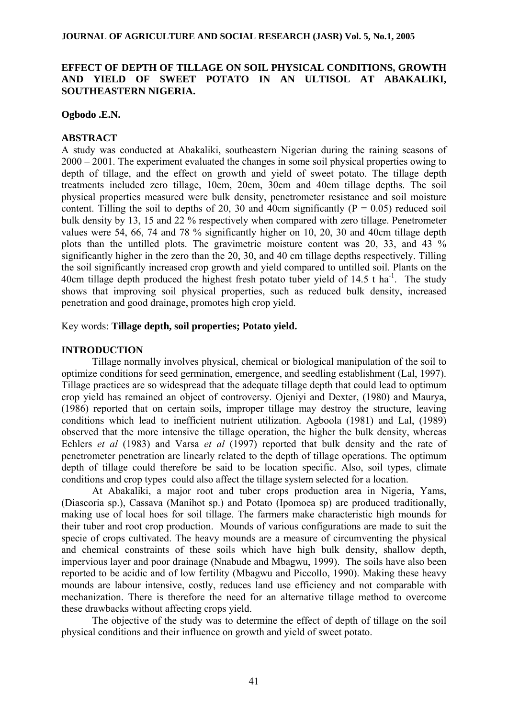# **EFFECT OF DEPTH OF TILLAGE ON SOIL PHYSICAL CONDITIONS, GROWTH AND YIELD OF SWEET POTATO IN AN ULTISOL AT ABAKALIKI, SOUTHEASTERN NIGERIA.**

## **Ogbodo .E.N.**

# **ABSTRACT**

A study was conducted at Abakaliki, southeastern Nigerian during the raining seasons of 2000 – 2001. The experiment evaluated the changes in some soil physical properties owing to depth of tillage, and the effect on growth and yield of sweet potato. The tillage depth treatments included zero tillage, 10cm, 20cm, 30cm and 40cm tillage depths. The soil physical properties measured were bulk density, penetrometer resistance and soil moisture content. Tilling the soil to depths of 20, 30 and 40cm significantly  $(P = 0.05)$  reduced soil bulk density by 13, 15 and 22 % respectively when compared with zero tillage. Penetrometer values were 54, 66, 74 and 78 % significantly higher on 10, 20, 30 and 40cm tillage depth plots than the untilled plots. The gravimetric moisture content was 20, 33, and 43 % significantly higher in the zero than the 20, 30, and 40 cm tillage depths respectively. Tilling the soil significantly increased crop growth and yield compared to untilled soil. Plants on the 40cm tillage depth produced the highest fresh potato tuber yield of  $14.5$  t ha<sup>-1</sup>. The study shows that improving soil physical properties, such as reduced bulk density, increased penetration and good drainage, promotes high crop yield.

## Key words: **Tillage depth, soil properties; Potato yield.**

# **INTRODUCTION**

 Tillage normally involves physical, chemical or biological manipulation of the soil to optimize conditions for seed germination, emergence, and seedling establishment (Lal, 1997). Tillage practices are so widespread that the adequate tillage depth that could lead to optimum crop yield has remained an object of controversy. Ojeniyi and Dexter, (1980) and Maurya, (1986) reported that on certain soils, improper tillage may destroy the structure, leaving conditions which lead to inefficient nutrient utilization. Agboola (1981) and Lal, (1989) observed that the more intensive the tillage operation, the higher the bulk density, whereas Echlers *et al* (1983) and Varsa *et al* (1997) reported that bulk density and the rate of penetrometer penetration are linearly related to the depth of tillage operations. The optimum depth of tillage could therefore be said to be location specific. Also, soil types, climate conditions and crop types could also affect the tillage system selected for a location.

 At Abakaliki, a major root and tuber crops production area in Nigeria, Yams, (Diascoria sp.), Cassava (Manihot sp.) and Potato (Ipomoea sp) are produced traditionally, making use of local hoes for soil tillage. The farmers make characteristic high mounds for their tuber and root crop production. Mounds of various configurations are made to suit the specie of crops cultivated. The heavy mounds are a measure of circumventing the physical and chemical constraints of these soils which have high bulk density, shallow depth, impervious layer and poor drainage (Nnabude and Mbagwu, 1999). The soils have also been reported to be acidic and of low fertility (Mbagwu and Piccollo, 1990). Making these heavy mounds are labour intensive, costly, reduces land use efficiency and not comparable with mechanization. There is therefore the need for an alternative tillage method to overcome these drawbacks without affecting crops yield.

 The objective of the study was to determine the effect of depth of tillage on the soil physical conditions and their influence on growth and yield of sweet potato.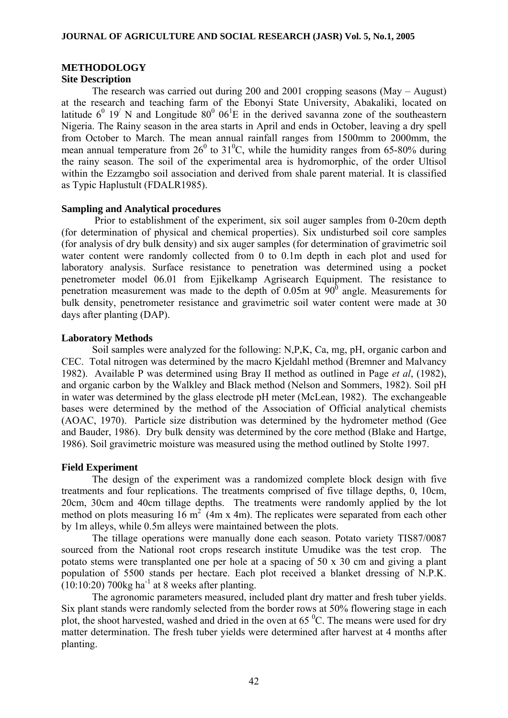# **METHODOLOGY**

# **Site Description**

 The research was carried out during 200 and 2001 cropping seasons (May – August) at the research and teaching farm of the Ebonyi State University, Abakaliki, located on latitude  $6^0$  19<sup>'</sup> N and Longitude  $80^0$  06<sup>1</sup>E in the derived savanna zone of the southeastern Nigeria. The Rainy season in the area starts in April and ends in October, leaving a dry spell from October to March. The mean annual rainfall ranges from 1500mm to 2000mm, the mean annual temperature from  $26^{\circ}$  to  $31^{\circ}$ C, while the humidity ranges from 65-80% during the rainy season. The soil of the experimental area is hydromorphic, of the order Ultisol within the Ezzamgbo soil association and derived from shale parent material. It is classified as Typic Haplustult (FDALR1985).

## **Sampling and Analytical procedures**

Prior to establishment of the experiment, six soil auger samples from 0-20cm depth (for determination of physical and chemical properties). Six undisturbed soil core samples (for analysis of dry bulk density) and six auger samples (for determination of gravimetric soil water content were randomly collected from 0 to 0.1m depth in each plot and used for laboratory analysis. Surface resistance to penetration was determined using a pocket penetrometer model 06.01 from Ejikelkamp Agrisearch Equipment. The resistance to penetration measurement was made to the depth of  $0.05m$  at  $90<sup>0</sup>$  angle. Measurements for bulk density, penetrometer resistance and gravimetric soil water content were made at 30 days after planting (DAP).

# **Laboratory Methods**

Soil samples were analyzed for the following: N,P,K, Ca, mg, pH, organic carbon and CEC. Total nitrogen was determined by the macro Kjeldahl method (Bremner and Malvancy 1982). Available P was determined using Bray II method as outlined in Page *et al*, (1982), and organic carbon by the Walkley and Black method (Nelson and Sommers, 1982). Soil pH in water was determined by the glass electrode pH meter (McLean, 1982). The exchangeable bases were determined by the method of the Association of Official analytical chemists (AOAC, 1970). Particle size distribution was determined by the hydrometer method (Gee and Bauder, 1986). Dry bulk density was determined by the core method (Blake and Hartge, 1986). Soil gravimetric moisture was measured using the method outlined by Stolte 1997.

# **Field Experiment**

The design of the experiment was a randomized complete block design with five treatments and four replications. The treatments comprised of five tillage depths, 0, 10cm, 20cm, 30cm and 40cm tillage depths. The treatments were randomly applied by the lot method on plots measuring 16 m<sup>2</sup> (4m x 4m). The replicates were separated from each other by 1m alleys, while 0.5m alleys were maintained between the plots.

The tillage operations were manually done each season. Potato variety TIS87/0087 sourced from the National root crops research institute Umudike was the test crop. The potato stems were transplanted one per hole at a spacing of 50 x 30 cm and giving a plant population of 5500 stands per hectare. Each plot received a blanket dressing of N.P.K.  $(10:10:20)$  700kg ha<sup>-1</sup> at 8 weeks after planting.

The agronomic parameters measured, included plant dry matter and fresh tuber yields. Six plant stands were randomly selected from the border rows at 50% flowering stage in each plot, the shoot harvested, washed and dried in the oven at 65 $\mathrm{^{0}C}$ . The means were used for dry matter determination. The fresh tuber yields were determined after harvest at 4 months after planting.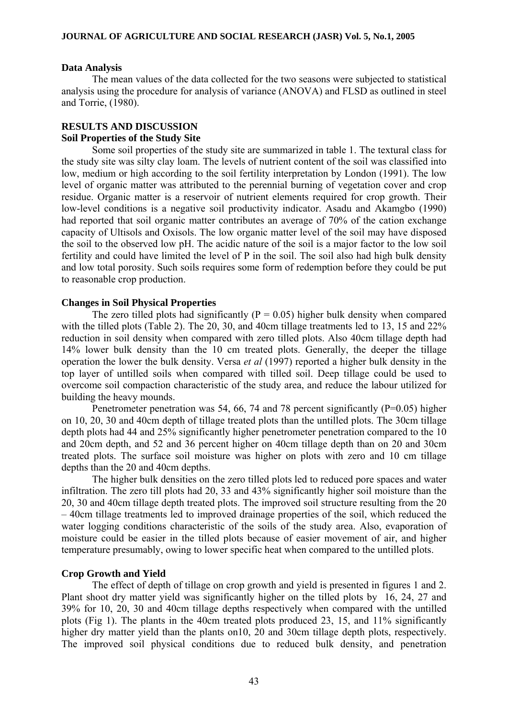#### **Data Analysis**

The mean values of the data collected for the two seasons were subjected to statistical analysis using the procedure for analysis of variance (ANOVA) and FLSD as outlined in steel and Torrie, (1980).

# **RESULTS AND DISCUSSION**

# **Soil Properties of the Study Site**

Some soil properties of the study site are summarized in table 1. The textural class for the study site was silty clay loam. The levels of nutrient content of the soil was classified into low, medium or high according to the soil fertility interpretation by London (1991). The low level of organic matter was attributed to the perennial burning of vegetation cover and crop residue. Organic matter is a reservoir of nutrient elements required for crop growth. Their low-level conditions is a negative soil productivity indicator. Asadu and Akamgbo (1990) had reported that soil organic matter contributes an average of 70% of the cation exchange capacity of Ultisols and Oxisols. The low organic matter level of the soil may have disposed the soil to the observed low pH. The acidic nature of the soil is a major factor to the low soil fertility and could have limited the level of P in the soil. The soil also had high bulk density and low total porosity. Such soils requires some form of redemption before they could be put to reasonable crop production.

## **Changes in Soil Physical Properties**

The zero tilled plots had significantly ( $P = 0.05$ ) higher bulk density when compared with the tilled plots (Table 2). The 20, 30, and 40cm tillage treatments led to 13, 15 and 22% reduction in soil density when compared with zero tilled plots. Also 40cm tillage depth had 14% lower bulk density than the 10 cm treated plots. Generally, the deeper the tillage operation the lower the bulk density. Versa *et al* (1997) reported a higher bulk density in the top layer of untilled soils when compared with tilled soil. Deep tillage could be used to overcome soil compaction characteristic of the study area, and reduce the labour utilized for building the heavy mounds.

Penetrometer penetration was 54, 66, 74 and 78 percent significantly (P=0.05) higher on 10, 20, 30 and 40cm depth of tillage treated plots than the untilled plots. The 30cm tillage depth plots had 44 and 25% significantly higher penetrometer penetration compared to the 10 and 20cm depth, and 52 and 36 percent higher on 40cm tillage depth than on 20 and 30cm treated plots. The surface soil moisture was higher on plots with zero and 10 cm tillage depths than the 20 and 40cm depths.

The higher bulk densities on the zero tilled plots led to reduced pore spaces and water infiltration. The zero till plots had 20, 33 and 43% significantly higher soil moisture than the 20, 30 and 40cm tillage depth treated plots. The improved soil structure resulting from the 20 – 40cm tillage treatments led to improved drainage properties of the soil, which reduced the water logging conditions characteristic of the soils of the study area. Also, evaporation of moisture could be easier in the tilled plots because of easier movement of air, and higher temperature presumably, owing to lower specific heat when compared to the untilled plots.

# **Crop Growth and Yield**

The effect of depth of tillage on crop growth and yield is presented in figures 1 and 2. Plant shoot dry matter yield was significantly higher on the tilled plots by 16, 24, 27 and 39% for 10, 20, 30 and 40cm tillage depths respectively when compared with the untilled plots (Fig 1). The plants in the 40cm treated plots produced 23, 15, and 11% significantly higher dry matter yield than the plants on10, 20 and 30cm tillage depth plots, respectively. The improved soil physical conditions due to reduced bulk density, and penetration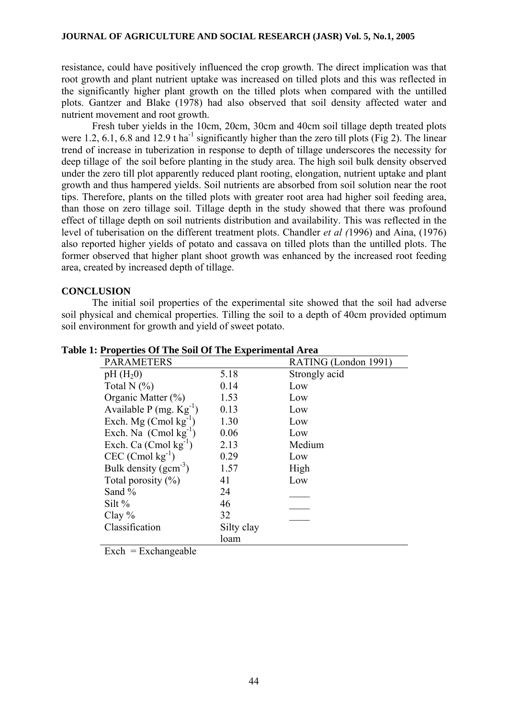resistance, could have positively influenced the crop growth. The direct implication was that root growth and plant nutrient uptake was increased on tilled plots and this was reflected in the significantly higher plant growth on the tilled plots when compared with the untilled plots. Gantzer and Blake (1978) had also observed that soil density affected water and nutrient movement and root growth.

 Fresh tuber yields in the 10cm, 20cm, 30cm and 40cm soil tillage depth treated plots were 1.2, 6.1, 6.8 and 12.9 t ha<sup>-1</sup> significantly higher than the zero till plots (Fig 2). The linear trend of increase in tuberization in response to depth of tillage underscores the necessity for deep tillage of the soil before planting in the study area. The high soil bulk density observed under the zero till plot apparently reduced plant rooting, elongation, nutrient uptake and plant growth and thus hampered yields. Soil nutrients are absorbed from soil solution near the root tips. Therefore, plants on the tilled plots with greater root area had higher soil feeding area, than those on zero tillage soil. Tillage depth in the study showed that there was profound effect of tillage depth on soil nutrients distribution and availability. This was reflected in the level of tuberisation on the different treatment plots. Chandler *et al (*1996) and Aina, (1976) also reported higher yields of potato and cassava on tilled plots than the untilled plots. The former observed that higher plant shoot growth was enhanced by the increased root feeding area, created by increased depth of tillage.

# **CONCLUSION**

 The initial soil properties of the experimental site showed that the soil had adverse soil physical and chemical properties. Tilling the soil to a depth of 40cm provided optimum soil environment for growth and yield of sweet potato.

| <b>PARAMETERS</b>              |            | RATING (London 1991) |  |
|--------------------------------|------------|----------------------|--|
| $pH(H_20)$                     | 5.18       | Strongly acid        |  |
| Total N $(%)$                  | 0.14       | Low                  |  |
| Organic Matter (%)             | 1.53       | Low                  |  |
| Available P $(mg. Kg-1)$       | 0.13       | Low                  |  |
| Exch. Mg $(Cmol kg^{-1})$      | 1.30       | Low                  |  |
| Exch. Na $($ Cmol $kg^{-1})$   | 0.06       | Low                  |  |
| Exch. Ca $(Cmol kg^{-1})$      | 2.13       | Medium               |  |
| $CEC$ (Cmol kg <sup>-1</sup> ) | 0.29       | Low                  |  |
| Bulk density $(gcm^{-3})$      | 1.57       | High                 |  |
| Total porosity $(\% )$         | 41         | Low                  |  |
| Sand %                         | 24         |                      |  |
| Silt $%$                       | 46         |                      |  |
| Clay $%$                       | 32         |                      |  |
| Classification                 | Silty clay |                      |  |
|                                | loam       |                      |  |

**Table 1: Properties Of The Soil Of The Experimental Area** 

 $\text{Exch} = \text{Exchangeable}$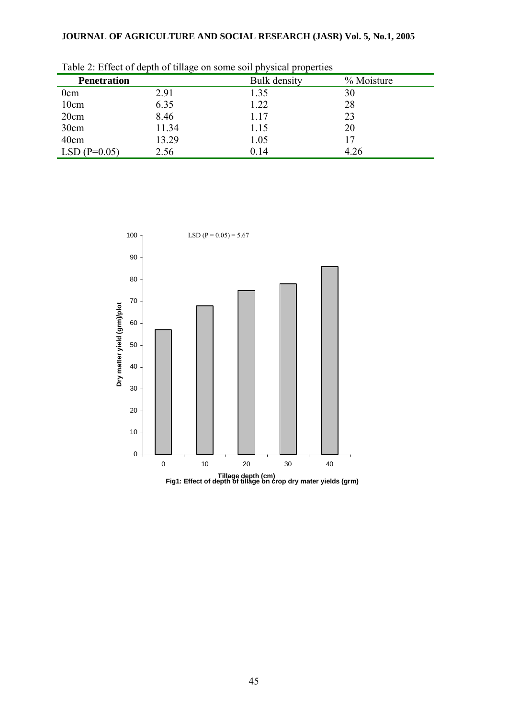| Twore 2. Effect of applie of things on bollie bon physical properties |       |              |            |  |
|-----------------------------------------------------------------------|-------|--------------|------------|--|
| <b>Penetration</b>                                                    |       | Bulk density | % Moisture |  |
| 0cm                                                                   | 2.91  | 1.35         | 30         |  |
| 10cm                                                                  | 6.35  | 1.22         | 28         |  |
| 20cm                                                                  | 8.46  | 1.17         | 23         |  |
| 30cm                                                                  | 11.34 | 1.15         | 20         |  |
| 40cm                                                                  | 13.29 | 1.05         |            |  |
| $LSD(P=0.05)$                                                         | 2.56  | 0.14         | 4.26       |  |

Table 2: Effect of depth of tillage on some soil physical properties



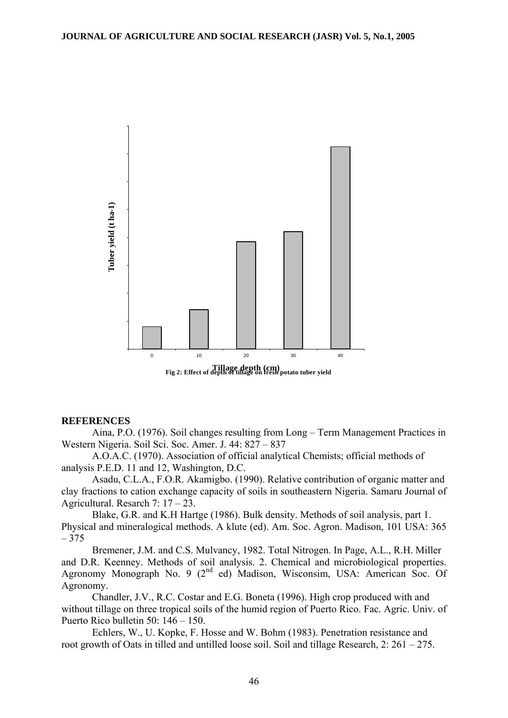

#### **REFERENCES**

Aina, P.O. (1976). Soil changes resulting from Long – Term Management Practices in Western Nigeria. Soil Sci. Soc. Amer. J. 44: 827 – 837

A.O.A.C. (1970). Association of official analytical Chemists; official methods of analysis P.E.D. 11 and 12, Washington, D.C.

Asadu, C.L.A., F.O.R. Akamigbo. (1990). Relative contribution of organic matter and clay fractions to cation exchange capacity of soils in southeastern Nigeria. Samaru Journal of Agricultural. Resarch 7: 17 – 23.

Blake, G.R. and K.H Hartge (1986). Bulk density. Methods of soil analysis, part 1. Physical and mineralogical methods. A klute (ed). Am. Soc. Agron. Madison, 101 USA: 365  $-375$ 

Bremener, J.M. and C.S. Mulvancy, 1982. Total Nitrogen. In Page, A.L., R.H. Miller and D.R. Keenney. Methods of soil analysis. 2. Chemical and microbiological properties. Agronomy Monograph No. 9 ( $2<sup>nd</sup>$  ed) Madison, Wisconsim, USA: American Soc. Of Agronomy.

Chandler, J.V., R.C. Costar and E.G. Boneta (1996). High crop produced with and without tillage on three tropical soils of the humid region of Puerto Rico. Fac. Agric. Univ. of Puerto Rico bulletin 50: 146 – 150.

Echlers, W., U. Kopke, F. Hosse and W. Bohm (1983). Penetration resistance and root growth of Oats in tilled and untilled loose soil. Soil and tillage Research, 2: 261 – 275.